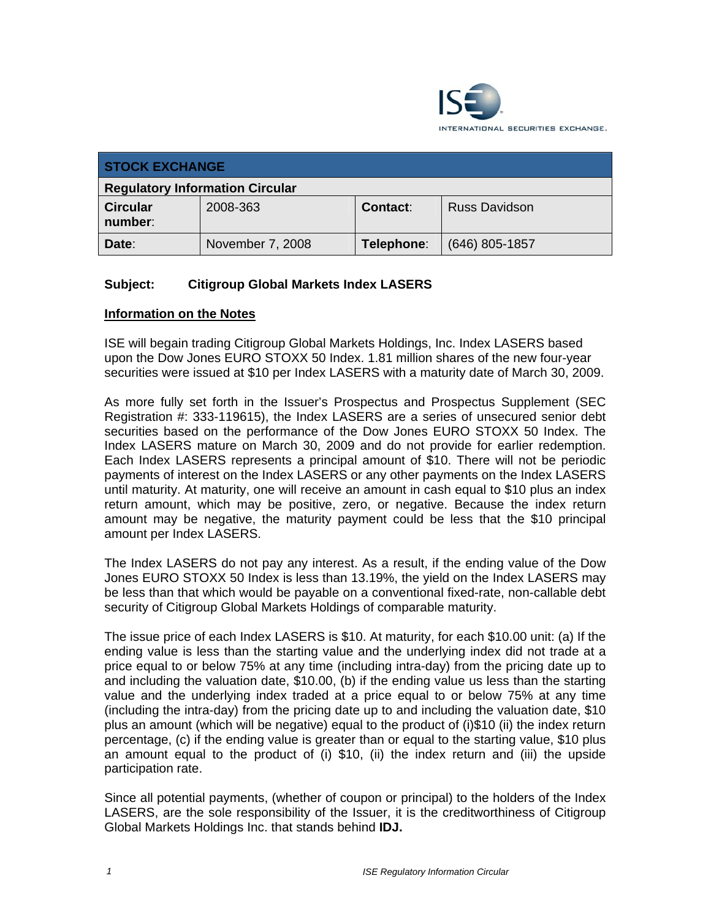

| <b>STOCK EXCHANGE</b>                  |                  |                 |                      |
|----------------------------------------|------------------|-----------------|----------------------|
| <b>Regulatory Information Circular</b> |                  |                 |                      |
| <b>Circular</b><br>number:             | 2008-363         | <b>Contact:</b> | <b>Russ Davidson</b> |
| Date:                                  | November 7, 2008 | Telephone:      | $(646)$ 805-1857     |

## **Subject: Citigroup Global Markets Index LASERS**

## **Information on the Notes**

ISE will begain trading Citigroup Global Markets Holdings, Inc. Index LASERS based upon the Dow Jones EURO STOXX 50 Index. 1.81 million shares of the new four-year securities were issued at \$10 per Index LASERS with a maturity date of March 30, 2009.

As more fully set forth in the Issuer's Prospectus and Prospectus Supplement (SEC Registration #: 333-119615), the Index LASERS are a series of unsecured senior debt securities based on the performance of the Dow Jones EURO STOXX 50 Index. The Index LASERS mature on March 30, 2009 and do not provide for earlier redemption. Each Index LASERS represents a principal amount of \$10. There will not be periodic payments of interest on the Index LASERS or any other payments on the Index LASERS until maturity. At maturity, one will receive an amount in cash equal to \$10 plus an index return amount, which may be positive, zero, or negative. Because the index return amount may be negative, the maturity payment could be less that the \$10 principal amount per Index LASERS.

The Index LASERS do not pay any interest. As a result, if the ending value of the Dow Jones EURO STOXX 50 Index is less than 13.19%, the yield on the Index LASERS may be less than that which would be payable on a conventional fixed-rate, non-callable debt security of Citigroup Global Markets Holdings of comparable maturity.

The issue price of each Index LASERS is \$10. At maturity, for each \$10.00 unit: (a) If the ending value is less than the starting value and the underlying index did not trade at a price equal to or below 75% at any time (including intra-day) from the pricing date up to and including the valuation date, \$10.00, (b) if the ending value us less than the starting value and the underlying index traded at a price equal to or below 75% at any time (including the intra-day) from the pricing date up to and including the valuation date, \$10 plus an amount (which will be negative) equal to the product of (i)\$10 (ii) the index return percentage, (c) if the ending value is greater than or equal to the starting value, \$10 plus an amount equal to the product of (i) \$10, (ii) the index return and (iii) the upside participation rate.

Since all potential payments, (whether of coupon or principal) to the holders of the Index LASERS, are the sole responsibility of the Issuer, it is the creditworthiness of Citigroup Global Markets Holdings Inc. that stands behind **IDJ.**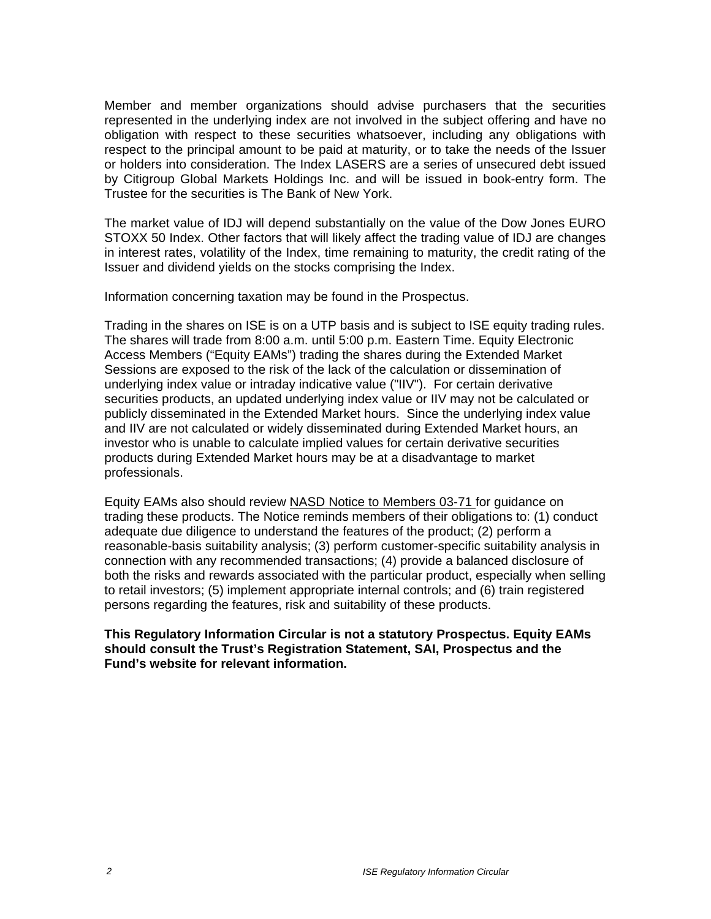Member and member organizations should advise purchasers that the securities represented in the underlying index are not involved in the subject offering and have no obligation with respect to these securities whatsoever, including any obligations with respect to the principal amount to be paid at maturity, or to take the needs of the Issuer or holders into consideration. The Index LASERS are a series of unsecured debt issued by Citigroup Global Markets Holdings Inc. and will be issued in book-entry form. The Trustee for the securities is The Bank of New York.

The market value of IDJ will depend substantially on the value of the Dow Jones EURO STOXX 50 Index. Other factors that will likely affect the trading value of IDJ are changes in interest rates, volatility of the Index, time remaining to maturity, the credit rating of the Issuer and dividend yields on the stocks comprising the Index.

Information concerning taxation may be found in the Prospectus.

Trading in the shares on ISE is on a UTP basis and is subject to ISE equity trading rules. The shares will trade from 8:00 a.m. until 5:00 p.m. Eastern Time. Equity Electronic Access Members ("Equity EAMs") trading the shares during the Extended Market Sessions are exposed to the risk of the lack of the calculation or dissemination of underlying index value or intraday indicative value ("IIV"). For certain derivative securities products, an updated underlying index value or IIV may not be calculated or publicly disseminated in the Extended Market hours. Since the underlying index value and IIV are not calculated or widely disseminated during Extended Market hours, an investor who is unable to calculate implied values for certain derivative securities products during Extended Market hours may be at a disadvantage to market professionals.

Equity EAMs also should review NASD Notice to Members 03-71 for guidance on trading these products. The Notice reminds members of their obligations to: (1) conduct adequate due diligence to understand the features of the product; (2) perform a reasonable-basis suitability analysis; (3) perform customer-specific suitability analysis in connection with any recommended transactions; (4) provide a balanced disclosure of both the risks and rewards associated with the particular product, especially when selling to retail investors; (5) implement appropriate internal controls; and (6) train registered persons regarding the features, risk and suitability of these products.

**This Regulatory Information Circular is not a statutory Prospectus. Equity EAMs should consult the Trust's Registration Statement, SAI, Prospectus and the Fund's website for relevant information.**